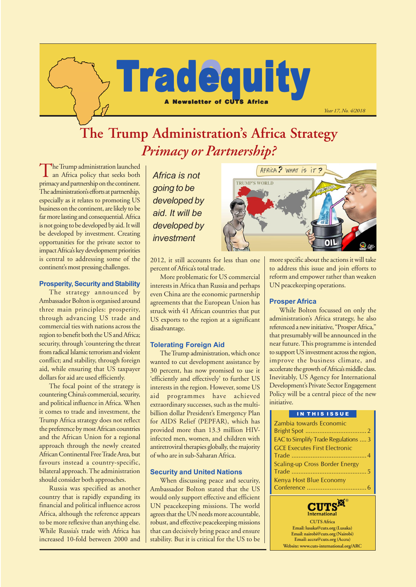

# **The Trump Administration's Africa Strategy** *Primacy or Partnership?*

The Trump administration launched an Africa policy that seeks both primacy and partnership on the continent. The administration's efforts at partnership, especially as it relates to promoting US business on the continent, are likely to be far more lasting and consequential. Africa is not going to be developed by aid. It will be developed by investment. Creating opportunities for the private sector to impact Africa's key development priorities is central to addressing some of the continent's most pressing challenges.

### Prosperity, Security and Stability

The strategy announced by Ambassador Bolton is organised around three main principles: prosperity, through advancing US trade and commercial ties with nations across the region to benefit both the US and Africa; security, through 'countering the threat from radical Islamic terrorism and violent conflict; and stability, through foreign aid, while ensuring that US taxpayer dollars for aid are used efficiently.

The focal point of the strategy is countering China's commercial, security, and political influence in Africa. When it comes to trade and investment, the Trump Africa strategy does not reflect the preference by most African countries and the African Union for a regional approach through the newly created African Continental Free Trade Area, but favours instead a country-specific, bilateral approach. The administration should consider both approaches.

Russia was specified as another country that is rapidly expanding its financial and political influence across Africa, although the reference appears to be more reflexive than anything else. While Russia's trade with Africa has increased 10-fold between 2000 and

Africa is not going to be developed by aid. It will be developed by investment

2012, it still accounts for less than one percent of Africa's total trade.

More problematic for US commercial interests in Africa than Russia and perhaps even China are the economic partnership agreements that the European Union has struck with 41 African countries that put US exports to the region at a significant disadvantage.

### Tolerating Foreign Aid

The Trump administration, which once wanted to cut development assistance by 30 percent, has now promised to use it 'efficiently and effectively' to further US interests in the region. However, some US aid programmes have achieved extraordinary successes, such as the multibillion dollar President's Emergency Plan for AIDS Relief (PEPFAR), which has provided more than 13.3 million HIVinfected men, women, and children with antiretroviral therapies globally, the majority of who are in sub-Saharan Africa.

#### Security and United Nations

When discussing peace and security, Ambassador Bolton stated that the US would only support effective and efficient UN peacekeeping missions. The world agrees that the UN needs more accountable, robust, and effective peacekeeping missions that can decisively bring peace and ensure stability. But it is critical for the US to be



more specific about the actions it will take to address this issue and join efforts to reform and empower rather than weaken UN peacekeeping operations.

*Year 17, No. 4/2018*

### Prosper Africa

While Bolton focussed on only the administration's Africa strategy, he also referenced a new initiative, "Prosper Africa," that presumably will be announced in the near future. This programme is intended to support US investment across the region, improve the business climate, and accelerate the growth of Africa's middle class. Inevitably, US Agency for International Development's Private Sector Engagement Policy will be a central piece of the new initiative.

| IN THIS ISSUE                        |
|--------------------------------------|
| Zambia towards Economic              |
|                                      |
| EAC to Simplify Trade Regulations  3 |
| <b>GCE Executes First Electronic</b> |
|                                      |
| Scaling-up Cross Border Energy       |
|                                      |
| Kenya Host Blue Economy              |
|                                      |

**CUTS** International **CUTS Africa Email: lusaka@cuts.org (Lusaka) Email: nairobi@cuts.org (Nairobi) Email: accra@cuts.org (Accra) Website: www.cuts-international.org/ARC**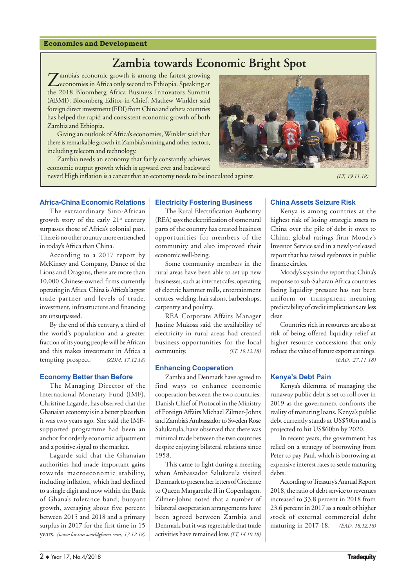### Economics and Development

# **Zambia towards Economic Bright Spot**

**Zambia's economic growth is among the fastest growing economies in Africa only second to Ethiopia. Speaking at** the 2018 Bloomberg Africa Business Innovators Summit (ABMI), Bloomberg Editor-in-Chief, Mathew Winkler said foreign direct investment (FDI) from China and others countries has helped the rapid and consistent economic growth of both Zambia and Ethiopia.

Giving an outlook of Africa's economies, Winkler said that there is remarkable growth in Zambia's mining and other sectors, including telecom and technology.

Zambia needs an economy that fairly constantly achieves economic output growth which is upward ever and backward never! High inflation is a cancer that an economy needs to be inoculated against. *(LT, 19.11.18)* 



# Africa-China Economic Relations

The extraordinary Sino-African growth story of the early 21<sup>st</sup> century surpasses those of Africa's colonial past. There is no other country more entrenched in today's Africa than China.

According to a 2017 report by McKinsey and Company, Dance of the Lions and Dragons, there are more than 10,000 Chinese-owned firms currently operating in Africa. China is Africa's largest trade partner and levels of trade, investment, infrastructure and financing are unsurpassed.

By the end of this century, a third of the world's population and a greater fraction of its young people will be African and this makes investment in Africa a tempting prospect. *(ZDM, 17.12.18)*

# Economy Better than Before

The Managing Director of the International Monetary Fund (IMF), Christine Lagarde, has observed that the Ghanaian economy is in a better place than it was two years ago. She said the IMFsupported programme had been an anchor for orderly economic adjustment and a positive signal to the market.

Lagarde said that the Ghanaian authorities had made important gains towards macroeconomic stability, including inflation, which had declined to a single digit and now within the Bank of Ghana's tolerance band; buoyant growth, averaging about five percent between 2015 and 2018 and a primary surplus in 2017 for the first time in 15 years. *(www.businessworldghana.com, 17.12.18)*

# Electricity Fostering Business

The Rural Electrification Authority (REA) says the electrification of some rural parts of the country has created business opportunities for members of the community and also improved their economic well-being.

Some community members in the rural areas have been able to set up new businesses, such as internet cafes, operating of electric hammer mills, entertainment centres, welding, hair salons, barbershops, carpentry and poultry.

REA Corporate Affairs Manager Justine Mukosa said the availability of electricity in rural areas had created business opportunities for the local community. *(LT, 19.12.18)*

# Enhancing Cooperation

Zambia and Denmark have agreed to find ways to enhance economic cooperation between the two countries. Danish Chief of Protocol in the Ministry of Foreign Affairs Michael Zilmer-Johns and Zambia's Ambassador to Sweden Rose Salukatula, have observed that there was minimal trade between the two countries despite enjoying bilateral relations since 1958.

This came to light during a meeting when Ambassador Salukatula visited Denmark to present her letters of Credence to Queen Margarethe II in Copenhagen. Zilmer-Johns noted that a number of bilateral cooperation arrangements have been agreed between Zambia and Denmark but it was regrettable that trade activities have remained low. *(LT, 14.10.18)*

# China Assets Seizure Risk

Kenya is among countries at the highest risk of losing strategic assets to China over the pile of debt it owes to China, global ratings firm Moody's Investor Service said in a newly-released report that has raised eyebrows in public finance circles.

Moody's says in the report that China's response to sub-Saharan Africa countries facing liquidity pressure has not been uniform or transparent meaning predictability of credit implications are less clear.

Countries rich in resources are also at risk of being offered liquidity relief at higher resource concessions that only reduce the value of future export earnings. *(EAD, 27.11.18)*

# Kenya's Debt Pain

Kenya's dilemma of managing the runaway public debt is set to roll over in 2019 as the government confronts the reality of maturing loans. Kenya's public debt currently stands at US\$50bn and is projected to hit US\$60bn by 2020.

In recent years, the government has relied on a strategy of borrowing from Peter to pay Paul, which is borrowing at expensive interest rates to settle maturing debts.

According to Treasury's Annual Report 2018, the ratio of debt service to revenues increased to 33.8 percent in 2018 from 23.6 percent in 2017 as a result of higher stock of external commercial debt maturing in 2017-18. *(EAD, 18.12.18)*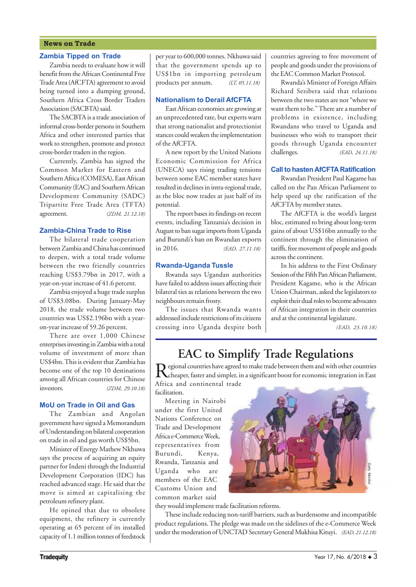# News on Trade

### Zambia Tipped on Trade

Zambia needs to evaluate how it will benefit from the African Continental Free Trade Area (AfCFTA) agreement to avoid being turned into a dumping ground, Southern Africa Cross Border Traders Association (SACBTA) said.

The SACBTA is a trade association of informal cross-border persons in Southern Africa and other interested parties that work to strengthen, promote and protect cross-border traders in the region.

Currently, Zambia has signed the Common Market for Eastern and Southern Africa (COMESA), East African Community (EAC) and Southern African Development Community (SADC) Tripartite Free Trade Area (TFTA) agreement. *(ZDM, 21.12.18)*

#### Zambia-China Trade to Rise

The bilateral trade cooperation between Zambia and China has continued to deepen, with a total trade volume between the two friendly countries reaching US\$3.79bn in 2017, with a year-on-year increase of 41.6 percent.

Zambia enjoyed a huge trade surplus of US\$3.08bn. During January-May 2018, the trade volume between two countries was US\$2.196bn with a yearon-year increase of 59.26 percent.

There are over 1,000 Chinese enterprises investing in Zambia with a total volume of investment of more than US\$4bn. This is evident that Zambia has become one of the top 10 destinations among all African countries for Chinese investors. *(ZDM, 29.10.18)*

### MoU on Trade in Oil and Gas

The Zambian and Angolan government have signed a Memorandum of Understanding on bilateral cooperation on trade in oil and gas worth US\$5bn.

Minister of Energy Mathew Nkhuwa says the process of acquiring an equity partner for Indeni through the Industrial Development Corporation (IDC) has reached advanced stage. He said that the move is aimed at capitalising the petroleum refinery plant.

He opined that due to obsolete equipment, the refinery is currently operating at 65 percent of its installed capacity of 1.1 million tonnes of feedstock per year to 600,000 tonnes. Nkhuwa said that the government spends up to US\$1bn in importing petroleum products per annum. *(LT, 05.11.18)*

#### Nationalism to Derail AfCFTA

East African economies are growing at an unprecedented rate, but experts warn that strong nationalist and protectionist stances could weaken the implementation of the AfCFTA.

A new report by the United Nations Economic Commission for Africa (UNECA) says rising trading tensions between some EAC member states have resulted in declines in intra-regional trade, as the bloc now trades at just half of its potential.

The report bases its findings on recent events, including Tanzania's decision in August to ban sugar imports from Uganda and Burundi's ban on Rwandan exports in 2016. *(EAD, 27.11.18)*

#### Rwanda-Uganda Tussle

Rwanda says Ugandan authorities have failed to address issues affecting their bilateral ties as relations between the two neighbours remain frosty.

The issues that Rwanda wants addressed include restrictions of its citizens crossing into Uganda despite both countries agreeing to free movement of people and goods under the provisions of the EAC Common Market Protocol.

Rwanda's Minister of Foreign Affairs Richard Sezibera said that relations between the two states are not "where we want them to be." There are a number of problems in existence, including Rwandans who travel to Uganda and businesses who wish to transport their goods through Uganda encounter challenges. *(EAD, 24.11.18)*

### Call to hasten AfCFTA Ratification

Rwandan President Paul Kagame has called on the Pan African Parliament to help speed up the ratification of the AfCFTA by member states.

The AfCFTA is the world's largest bloc, estimated to bring about long-term gains of about US\$16bn annually to the continent through the elimination of tariffs, free movement of people and goods across the continent.

In his address to the First Ordinary Session of the Fifth Pan African Parliament, President Kagame, who is the African Union Chairman, asked the legislators to exploit their dual roles to become advocates of African integration in their countries and at the continental legislature.

*(EAD, 23.10.18)*

# **EAC to Simplify Trade Regulations**

Regional countries have agreed to make trade between them and with other countries<br>cheaper, faster and simpler, in a significant boost for economic integration in East Africa and continental trade

facilitation.

Meeting in Nairobi under the first United Nations Conference on Trade and Development Africa e-Commerce Week, representatives from Burundi, Kenya, Rwanda, Tanzania and Uganda who are members of the EAC Customs Union and common market said

they would implement trade facilitation reforms.

These include reducing non-tariff barriers, such as burdensome and incompatible product regulations. The pledge was made on the sidelines of the e-Commerce Week Uganda who are<br>
members of the EAC<br>
Customs Union and<br>
common market said<br>
they would implement trade facilitation reforms.<br>
These include reducing non-tariff barriers, such as burdensome and incompatible<br>
product regulati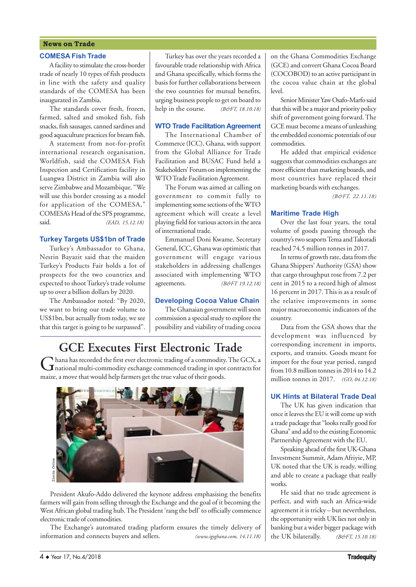## News on Trade

### COMESA Fish Trade

A facility to stimulate the cross-border trade of nearly 10 types of fish products in line with the safety and quality standards of the COMESA has been inaugurated in Zambia.

The standards cover fresh, frozen, farmed, salted and smoked fish, fish snacks, fish sausages, canned sardines and good aquaculture practices for bream fish.

A statement from not-for-profit international research organisation, Worldfish, said the COMESA Fish Inspection and Certification facility in Luangwa District in Zambia will also serve Zimbabwe and Mozambique. "We will use this border crossing as a model for application of the COMESA," COMESA's Head of the SPS programme, said. (*EAD*, 15.12.18)

### Turkey Targets US\$1bn of Trade

Turkey's Ambassador to Ghana, Nesrin Bayazit said that the maiden Turkey's Products Fair holds a lot of prospects for the two countries and expected to shoot Turkey's trade volume up to over a billion dollars by 2020.

The Ambassador noted: "By 2020, we want to bring our trade volume to US\$1bn, but actually from today, we see that this target is going to be surpassed".

Turkey has over the years recorded a favourable trade relationship with Africa and Ghana specifically, which forms the basis for further collaborations between the two countries for mutual benefits, urging business people to get on board to help in the course. *(B&FT, 18.10.18)*

## WTO Trade Facilitation Agreement

The International Chamber of Commerce (ICC), Ghana, with support from the Global Alliance for Trade Facilitation and BUSAC Fund held a Stakeholders' Forum on implementing the WTO Trade Facilitation Agreement.

The Forum was aimed at calling on government to commit fully to implementing some sections of the WTO agreement which will create a level playing field for various actors in the area of international trade.

Emmanuel Doni Kwame, Secretary General, ICC, Ghana was optimistic that government will engage various stakeholders in addressing challenges associated with implementing WTO agreements. *(B&FT 19.12.18)*

### Developing Cocoa Value Chain

The Ghanaian government will soon commission a special study to explore the possibility and viability of trading cocoa

# **GCE Executes First Electronic Trade**

Ghana has recorded the first ever electronic trading of a commodity. The GCX, a national multi-commodity exchange commenced trading in spot contracts for maize, a move that would help farmers get the true value of their goods.



President Akufo-Addo delivered the keynote address emphasising the benefits farmers will gain from selling through the Exchange and the goal of it becoming the West African global trading hub. The President 'rang the bell' to officially commence electronic trade of commodities. Fresident Akufo-Addo delivered the keynote address emphasising the benefits farmers will gain from selling through the Exchange and the goal of it becoming the West African global trading hub. The President 'rang the bell'

The Exchange's automated trading platform ensures the timely delivery of

on the Ghana Commodities Exchange (GCE) and convert Ghana Cocoa Board (COCOBOD) to an active participant in the cocoa value chain at the global level.

Senior Minister Yaw Osafo-Marfo said that this will be a major and priority policy shift of government going forward. The GCE must become a means of unleashing the embedded economic potentials of our commodities.

He added that empirical evidence suggests that commodities exchanges are more efficient than marketing boards, and most countries have replaced their marketing boards with exchanges.

*(B&FT, 22.11.18)*

### Maritime Trade High

Over the last four years, the total volume of goods passing through the country's two seaports Tema and Takoradi reached 74.5 million tonnes in 2017.

In terms of growth rate, data from the Ghana Shippers' Authority (GSA) show that cargo throughput rose from 7.2 per cent in 2015 to a record high of almost 16 percent in 2017. This is as a result of the relative improvements in some major macroeconomic indicators of the country.

Data from the GSA shows that the development was influenced by corresponding increment in imports, exports, and transits. Goods meant for import for the four year period, ranged from 10.8 million tonnes in 2014 to 14.2 million tonnes in 2017. *(GO, 04.12.18)*

# UK Hints at Bilateral Trade Deal

The UK has given indication that once it leaves the EU it will come up with a trade package that "looks really good for Ghana" and add to the existing Economic Partnership Agreement with the EU.

Speaking ahead of the first UK-Ghana Investment Summit, Adam Afriyie, MP, UK noted that the UK is ready, willing and able to create a package that really works.

He said that no trade agreement is perfect, and with such an Africa-wide agreement it is tricky – but nevertheless, the opportunity with UK lies not only in banking but a wider bigger package with the UK bilaterally. *(B&FT, 15.10.18)*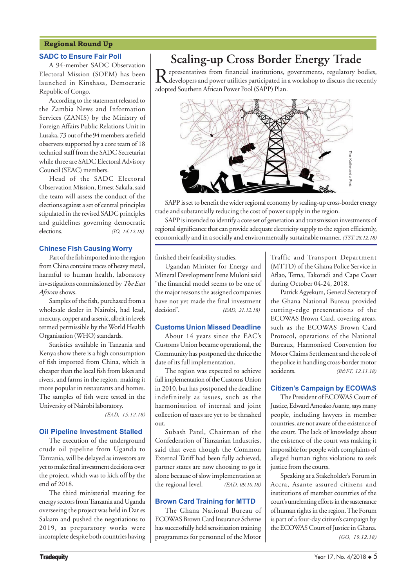# Regional Round Up

### SADC to Ensure Fair Poll

A 94-member SADC Observation Electoral Mission (SOEM) has been launched in Kinshasa, Democratic Republic of Congo.

According to the statement released to the Zambia News and Information Services (ZANIS) by the Ministry of Foreign Affairs Public Relations Unit in Lusaka, 73 out of the 94 members are field observers supported by a core team of 18 technical staff from the SADC Secretariat while three are SADC Electoral Advisory Council (SEAC) members.

Head of the SADC Electoral Observation Mission, Ernest Sakala, said the team will assess the conduct of the elections against a set of central principles stipulated in the revised SADC principles and guidelines governing democratic elections. *(IO, 14.12.18)*

### Chinese Fish Causing Worry

Part of the fish imported into the region from China contains traces of heavy metal, harmful to human health, laboratory investigations commissioned by *The East African* shows.

Samples of the fish, purchased from a wholesale dealer in Nairobi, had lead, mercury, copper and arsenic, albeit in levels termed permissible by the World Health Organisation (WHO) standards.

Statistics available in Tanzania and Kenya show there is a high consumption of fish imported from China, which is cheaper than the local fish from lakes and rivers, and farms in the region, making it more popular in restaurants and homes. The samples of fish were tested in the University of Nairobi laboratory.

*(EAD, 15.12.18)*

# Oil Pipeline Investment Stalled

The execution of the underground crude oil pipeline from Uganda to Tanzania, will be delayed as investors are yet to make final investment decisions over the project, which was to kick off by the end of 2018.

The third ministerial meeting for energy sectors from Tanzania and Uganda overseeing the project was held in Dar es Salaam and pushed the negotiations to 2019, as preparatory works were incomplete despite both countries having

# **Scaling-up Cross Border Energy Trade**

Representatives from financial institutions, governments, regulatory bodies,<br>developers and power utilities participated in a workshop to discuss the recently adopted Southern African Power Pool (SAPP) Plan.



SAPP is set to benefit the wider regional economy by scaling-up cross-border energy trade and substantially reducing the cost of power supply in the region.

SAPP is intended to identify a core set of generation and transmission investments of regional significance that can provide adequate electricity supply to the region efficiently,

finished their feasibility studies.

Ugandan Minister for Energy and Mineral Development Irene Muloni said "the financial model seems to be one of the major reasons the assigned companies have not yet made the final investment decision". *(EAD, 21.12.18)*

# Customs Union Missed Deadline

About 14 years since the EAC's Customs Union became operational, the Community has postponed the thrice the date of its full implementation.

The region was expected to achieve full implementation of the Customs Union in 2010, but has postponed the deadline indefinitely as issues, such as the harmonisation of internal and joint collection of taxes are yet to be thrashed out.

Subash Patel, Chairman of the Confederation of Tanzanian Industries, said that even though the Common External Tariff had been fully achieved, partner states are now choosing to go it alone because of slow implementation at the regional level. *(EAD, 09.10.18)*

# Brown Card Training for MTTD

The Ghana National Bureau of ECOWAS Brown Card Insurance Scheme has successfully held sensitisation training programmes for personnel of the Motor

Traffic and Transport Department (MTTD) of the Ghana Police Service in Aflao, Tema, Takoradi and Cape Coast during October 04-24, 2018.

Patrick Agyekum, General Secretary of the Ghana National Bureau provided cutting-edge presentations of the ECOWAS Brown Card, covering areas, such as the ECOWAS Brown Card Protocol, operations of the National Bureaux, Harmonised Convention for Motor Claims Settlement and the role of the police in handling cross-border motor accidents. *(B&FT, 12.11.18)*

# **Citizen's Campaign by ECOWAS**

The President of ECOWAS Court of Justice, Edward Amoako Asante, says many people, including lawyers in member countries, are not aware of the existence of the court. The lack of knowledge about the existence of the court was making it impossible for people with complaints of alleged human rights violations to seek justice from the courts.

Speaking at a Stakeholder's Forum in Accra, Asante assured citizens and institutions of member countries of the court's unrelenting efforts in the sustenance of human rights in the region. The Forum is part of a four-day citizen's campaign by the ECOWAS Court of Justice in Ghana. *(GO, 19.12.18)*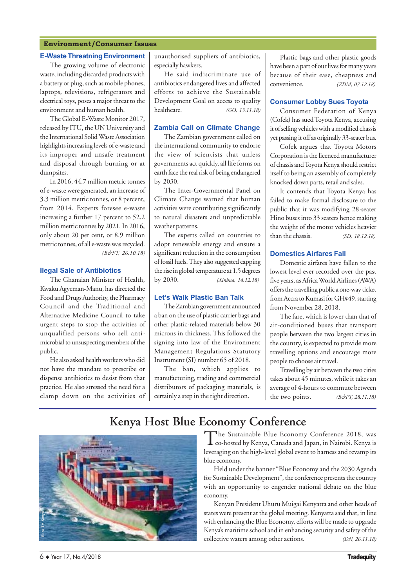# Environment/Consumer Issues

### E-Waste Threatning Environment

The growing volume of electronic waste, including discarded products with a battery or plug, such as mobile phones, laptops, televisions, refrigerators and electrical toys, poses a major threat to the environment and human health.

The Global E-Waste Monitor 2017, released by ITU, the UN University and the International Solid Waste Association highlights increasing levels of e-waste and its improper and unsafe treatment and disposal through burning or at dumpsites.

In 2016, 44.7 million metric tonnes of e-waste were generated, an increase of 3.3 million metric tonnes, or 8 percent, from 2014. Experts foresee e-waste increasing a further 17 percent to 52.2 million metric tonnes by 2021. In 2016, only about 20 per cent, or 8.9 million metric tonnes, of all e-waste was recycled. *(B&FT, 26.10.18)*

### Ilegal Sale of Antibiotics

The Ghanaian Minister of Health, Kwaku Agyeman-Manu, has directed the Food and Drugs Authority, the Pharmacy Council and the Traditional and Alternative Medicine Council to take urgent steps to stop the activities of unqualified persons who sell antimicrobial to unsuspecting members of the public.

He also asked health workers who did not have the mandate to prescribe or dispense antibiotics to desist from that practice. He also stressed the need for a clamp down on the activities of unauthorised suppliers of antibiotics, especially hawkers.

He said indiscriminate use of antibiotics endangered lives and affected efforts to achieve the Sustainable Development Goal on access to quality healthcare. *(GO, 13.11.18)*

### Zambia Call on Climate Change

The Zambian government called on the international community to endorse the view of scientists that unless governments act quickly, all life forms on earth face the real risk of being endangered by 2030.

The Inter-Governmental Panel on Climate Change warned that human activities were contributing significantly to natural disasters and unpredictable weather patterns.

The experts called on countries to adopt renewable energy and ensure a significant reduction in the consumption of fossil fuels. They also suggested capping the rise in global temperature at 1.5 degrees by 2030. *(Xinhua, 14.12.18)*

### Let's Walk Plastic Ban Talk

The Zambian government announced a ban on the use of plastic carrier bags and other plastic-related materials below 30 microns in thickness. This followed the signing into law of the Environment Management Regulations Statutory Instrument (SI) number 65 of 2018.

The ban, which applies to manufacturing, trading and commercial distributors of packaging materials, is certainly a step in the right direction.

Plastic bags and other plastic goods have been a part of our lives for many years because of their ease, cheapness and convenience. *(ZDM, 07.12.18)*

#### Consumer Lobby Sues Toyota

Consumer Federation of Kenya (Cofek) has sued Toyota Kenya, accusing it of selling vehicles with a modified chassis yet passing it off as originally 33-seater bus.

Cofek argues that Toyota Motors Corporation is the licenced manufacturer of chassis and Toyota Kenya should restrict itself to being an assembly of completely knocked down parts, retail and sales.

It contends that Toyota Kenya has failed to make formal disclosure to the public that it was modifying 28-seater Hino buses into 33 seaters hence making the weight of the motor vehicles heavier than the chassis. *(SD, 18.12.18)*

# Domestics Airfares Fall

Domestic airfares have fallen to the lowest level ever recorded over the past five years, as Africa World Airlines (AWA) offers the travelling public a one-way ticket from Accra to Kumasi for GH¢49, starting from November 28, 2018.

The fare, which is lower than that of air-conditioned buses that transport people between the two largest cities in the country, is expected to provide more travelling options and encourage more people to choose air travel.

Travelling by air between the two cities takes about 45 minutes, while it takes an average of 4-hours to commute between the two points. *(B&FT, 28.11.18)*

# **Kenya Host Blue Economy Conference**



The Sustainable Blue Economy Conference 2018, was co-hosted by Kenya, Canada and Japan, in Nairobi. Kenya is leveraging on the high-level global event to harness and revamp its blue economy.

Held under the banner "Blue Economy and the 2030 Agenda for Sustainable Development", the conference presents the country with an opportunity to engender national debate on the blue economy.

Kenyan President Uhuru Muigai Kenyatta and other heads of states were present at the global meeting. Kenyatta said that, in line with enhancing the Blue Economy, efforts will be made to upgrade Kenya's maritime school and in enhancing security and safety of the collective waters among other actions. *(DN, 26.11.18)*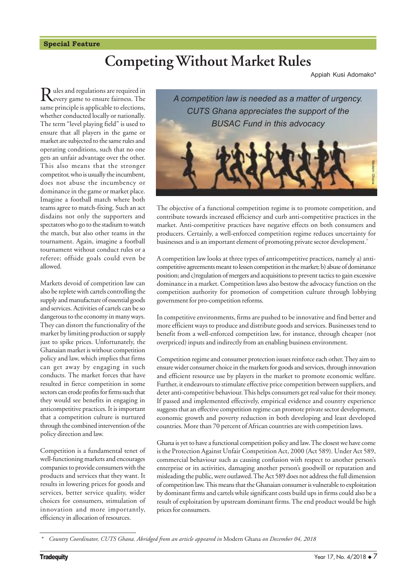# **Competing Without Market Rules**

Appiah Kusi Adomako\*

Rules and regulations are required in every game to ensure fairness. The same principle is applicable to elections, whether conducted locally or nationally. The term "level playing field" is used to ensure that all players in the game or market are subjected to the same rules and operating conditions, such that no one gets an unfair advantage over the other. This also means that the stronger competitor, who is usually the incumbent, does not abuse the incumbency or dominance in the game or market place. Imagine a football match where both teams agree to match-fixing. Such an act disdains not only the supporters and spectators who go to the stadium to watch the match, but also other teams in the tournament. Again, imagine a football tournament without conduct rules or a referee; offside goals could even be allowed.

Markets devoid of competition law can also be replete with cartels controlling the supply and manufacture of essential goods and services. Activities of cartels can be so dangerous to the economy in many ways. They can distort the functionality of the market by limiting production or supply just to spike prices. Unfortunately, the Ghanaian market is without competition policy and law, which implies that firms can get away by engaging in such conducts. The market forces that have resulted in fierce competition in some sectors can erode profits for firms such that they would see benefits in engaging in anticompetitive practices. It is important that a competition culture is nurtured through the combined intervention of the policy direction and law.

Competition is a fundamental tenet of well-functioning markets and encourages companies to provide consumers with the products and services that they want. It results in lowering prices for goods and services, better service quality, wider choices for consumers, stimulation of innovation and more importantly, efficiency in allocation of resources.



The objective of a functional competition regime is to promote competition, and contribute towards increased efficiency and curb anti-competitive practices in the market. Anti-competitive practices have negative effects on both consumers and producers. Certainly, a well-enforced competition regime reduces uncertainty for businesses and is an important element of promoting private sector development.'

A competition law looks at three types of anticompetitive practices, namely a) anticompetitive agreements meant to lessen competition in the market; b) abuse of dominance position; and c)regulation of mergers and acquisitions to prevent tactics to gain excessive dominance in a market. Competition laws also bestow the advocacy function on the competition authority for promotion of competition culture through lobbying government for pro-competition reforms.

In competitive environments, firms are pushed to be innovative and find better and more efficient ways to produce and distribute goods and services. Businesses tend to benefit from a well-enforced competition law, for instance, through cheaper (not overpriced) inputs and indirectly from an enabling business environment.

Competition regime and consumer protection issues reinforce each other. They aim to ensure wider consumer choice in the markets for goods and services, through innovation and efficient resource use by players in the market to promote economic welfare. Further, it endeavours to stimulate effective price competition between suppliers, and deter anti-competitive behaviour. This helps consumers get real value for their money. If passed and implemented effectively, empirical evidence and country experience suggests that an effective competition regime can promote private sector development, economic growth and poverty reduction in both developing and least developed countries. More than 70 percent of African countries are with competition laws.

Ghana is yet to have a functional competition policy and law. The closest we have come is the Protection Against Unfair Competition Act, 2000 (Act 589). Under Act 589, commercial behaviour such as causing confusion with respect to another person's enterprise or its activities, damaging another person's goodwill or reputation and misleading the public, were outlawed. The Act 589 does not address the full dimension of competition law. This means that the Ghanaian consumer is vulnerable to exploitation by dominant firms and cartels while significant costs build ups in firms could also be a result of exploitation by upstream dominant firms. The end product would be high prices for consumers.

*<sup>\*</sup> Country Coordinator, CUTS Ghana. Abridged from an article appeared in* Modern Ghana *on December 04, 2018*